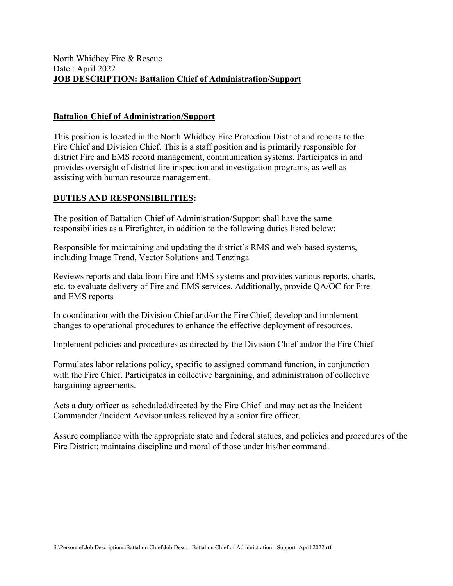### **Battalion Chief of Administration/Support**

This position is located in the North Whidbey Fire Protection District and reports to the Fire Chief and Division Chief. This is a staff position and is primarily responsible for district Fire and EMS record management, communication systems. Participates in and provides oversight of district fire inspection and investigation programs, as well as assisting with human resource management.

### **DUTIES AND RESPONSIBILITIES:**

The position of Battalion Chief of Administration/Support shall have the same responsibilities as a Firefighter, in addition to the following duties listed below:

Responsible for maintaining and updating the district's RMS and web-based systems, including Image Trend, Vector Solutions and Tenzinga

Reviews reports and data from Fire and EMS systems and provides various reports, charts, etc. to evaluate delivery of Fire and EMS services. Additionally, provide QA/OC for Fire and EMS reports

In coordination with the Division Chief and/or the Fire Chief, develop and implement changes to operational procedures to enhance the effective deployment of resources.

Implement policies and procedures as directed by the Division Chief and/or the Fire Chief

Formulates labor relations policy, specific to assigned command function, in conjunction with the Fire Chief. Participates in collective bargaining, and administration of collective bargaining agreements.

Acts a duty officer as scheduled/directed by the Fire Chief and may act as the Incident Commander /Incident Advisor unless relieved by a senior fire officer.

Assure compliance with the appropriate state and federal statues, and policies and procedures of the Fire District; maintains discipline and moral of those under his/her command.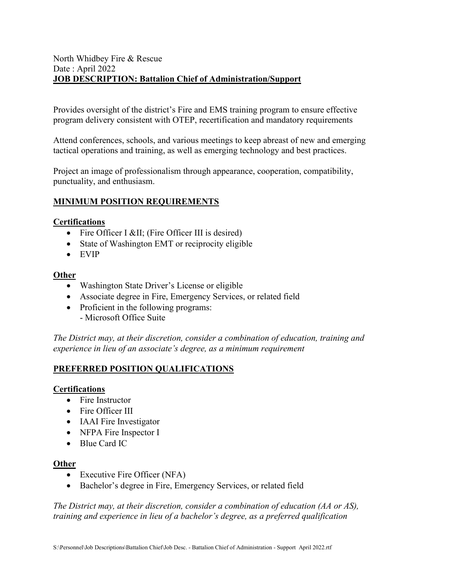### North Whidbey Fire & Rescue Date : April 2022 **JOB DESCRIPTION: Battalion Chief of Administration/Support**

Provides oversight of the district's Fire and EMS training program to ensure effective program delivery consistent with OTEP, recertification and mandatory requirements

Attend conferences, schools, and various meetings to keep abreast of new and emerging tactical operations and training, as well as emerging technology and best practices.

Project an image of professionalism through appearance, cooperation, compatibility, punctuality, and enthusiasm.

# **MINIMUM POSITION REQUIREMENTS**

#### **Certifications**

- Fire Officer I ⅈ (Fire Officer III is desired)
- State of Washington EMT or reciprocity eligible
- EVIP

### **Other**

- Washington State Driver's License or eligible
- Associate degree in Fire, Emergency Services, or related field
- Proficient in the following programs:
	- Microsoft Office Suite

*The District may, at their discretion, consider a combination of education, training and experience in lieu of an associate's degree, as a minimum requirement* 

### **PREFERRED POSITION QUALIFICATIONS**

#### **Certifications**

- Fire Instructor
- Fire Officer III
- IAAI Fire Investigator
- NFPA Fire Inspector I
- Blue Card IC

#### **Other**

- Executive Fire Officer (NFA)
- Bachelor's degree in Fire, Emergency Services, or related field

*The District may, at their discretion, consider a combination of education (AA or AS), training and experience in lieu of a bachelor's degree, as a preferred qualification*